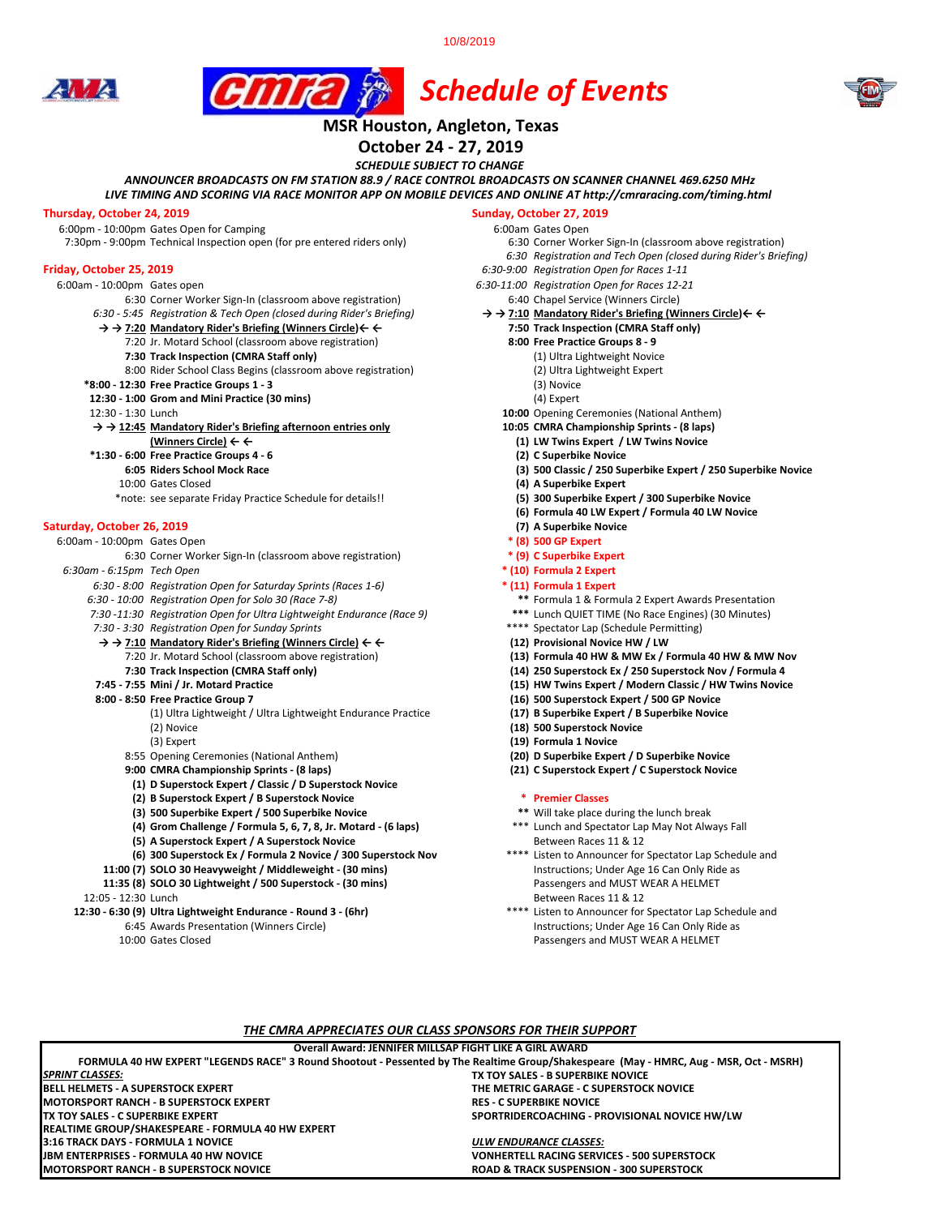10/8/2019





## **MSR Houston, Angleton, Texas**

**October 24 - 27, 2019**

*SCHEDULE SUBJECT TO CHANGE*

*ANNOUNCER BROADCASTS ON FM STATION 88.9 / RACE CONTROL BROADCASTS ON SCANNER CHANNEL 469.6250 MHz*

*LIVE TIMING AND SCORING VIA RACE MONITOR APP ON MOBILE DEVICES AND ONLINE AT http://cmraracing.com/timing.html* 

**Thursday, October 24, 2019**<br>
6:00pm - 10:00pm Gates Open for Camping<br>
6:00pm - 10:00pm Gates Open for Camping 6:00pm - 10:00pm Gates Open for Camping<br>7:30pm - 9:00pm Technical Inspection open (for pre entered riders only) 6:00 Corner Worker Sign-In (classroom above registration) 7:30pm - 9:00pm Technical Inspection open (for pre entered riders only)

- 
- 6:00am 10:00pm Gates open *6:30-11:00 Registration Open for Races 12-21* 6:30 Corner Worker Sign-In (classroom above registration) 6:40 Chapel Service (Winners Circle) 6:45 Registration & Tech Open (closed during Rider's Briefing)  $\rightarrow \rightarrow$  7:10 Mandatory Rider's Briefing (Winners Circle)  $\leftarrow \leftarrow$ 
	- *6:30 5:45 Registration & Tech Open (closed during Rider's Briefing)* **→ → 7:10 Mandatory Rider's Briefing (Winners Circle)← ←**
	- **→ → 7:20 Mandatory Rider's Briefing (Winners Circle)← ← 7:50 Track Inspection (CMRA Staff only)**
	- 7:20 Jr. Motard School (classroom above registration) **8:00 Free Practice Groups 8 9**
		- **7:30 Track Inspection (CMRA Staff only)** (1) Ultra Lightweight Novice 8:00 Rider School Class Begins (classroom above registration)
	-
	- **\*8:00 12:30 Free Practice Groups 1 3** (3) Novice **12:30 - 1:00 Grom and Mini Practice (30 mins) 12:30 - 1:30 Lunch**
	-
	- **→ → 12:45 Mandatory Rider's Briefing afternoon entries only 10:05 CMRA Championship Sprints (8 laps)**
		-
	- **\*1:30 6:00 Free Practice Groups 4 6 (2) C Superbike Novice**
		-
		-
		- \*note: see separate Friday Practice Schedule for details!! **(5) 300 Superbike Expert / 300 Superbike Novice**

# **Saturday, October 26, 2019 (7) A Superbike Novice 26, 2019 (7) A Superbike Novice <b>10:00pm** Gates Open **and Saturday (8) (8) (8) (8) (8) (8) (8) (8) (8) (8) (8) (8) (8) (8) (8) (8)**

6:00am - 10:00pm Gates Open **\* (8) 500 GP Expert**  6:30 Corner Worker Sign-In (classroom above registration)

*6:30am - 6:15pm Tech Open* **\* (10) Formula 2 Expert** 

- *6:30 8:00 Registration Open for Saturday Sprints (Races 1-6)* **\* (11) Formula 1 Expert**
- 
- *6:30 10:00 Registration Open for Solo 30 (Race 7-8)* **\*\*** Formula 1 & Formula 2 Expert Awards Presentation *7:30 -11:30 Registration Open for Ultra Lightweight Endurance (Race 9)* **\*\*\*** Lunch QUIET TIME (No Race Engines) (30 Minutes)
- 7:30 3:30 Registration Open for Sunday Sprints
- **→ → 7:10 Mandatory Rider's Briefing (Winners Circle) ← ← (12) Provisional Novice HW / LW**
	-
	-
- - - (1) Ultra Lightweight / Ultra Lightweight Endurance Practice **(17) B Superbike Expert / B Superbike Novice** (2) Novice **(18) 500 Superstock Novice**
		-
		- 8:55 Opening Ceremonies (National Anthem) **(20) D Superbike Expert / D Superbike Novice**
		-
		- **(1) D Superstock Expert / Classic / D Superstock Novice**
		-
		- **(2) B Superstock Expert / B Superstock Novice \* Premier Classes** (3) **500 Superbike Expert / 500 Superbike Novice**
		-
		-
		- **(5) A Superstock Expert / A Superstock Novice** Between Races 11 & 12<br>**(6) 300 Superstock Ex / Formula 2 Novice / 300 Superstock Nov <b>ACCONFINGERY** Busten to Announcer for Spectator Lap Schedule and **(6) 300 Superstock Ex / Formula 2 Novice / 300 Superstock Nov**

**BELL HELMETS - A SUPERSTOCK EXPERT THE METRIC GARAGE - C SUPERSTOCK NOVICE**

**FORMULA 40 HW EXPERT "LEGENDS RACE" 3 Round Shootout - Pessented by The Realtime Group/Shakespeare (May - HMRC, Aug - MSR, Oct - MSRH)**

**Overall Award: JENNIFER MILLSAP FIGHT LIKE A GIRL AWARD**

*THE CMRA APPRECIATES OUR CLASS SPONSORS FOR THEIR SUPPORT*

**MOTORSPORT RANCH - B SUPERSTOCK NOVICE ROAD & TRACK SUSPENSION - 300 SUPERSTOCK**

**3:16 TRACK DAYS - FORMULA 1 NOVICE** *ULW ENDURANCE CLASSES:*

- 
- 11:35 (8) **SOLO 30 Lightweight / 500 Superstock (30 mins)**

- **12:30 6:30 (9) Ultra Lightweight Endurance Round 3 (6hr)** 
	-
	-

**MOTORSPORT RANCH - B SUPERSTOCK EXPERT<br>TX TOY SALES - C SUPERBIKE EXPERT** 

**REALTIME GROUP/SHAKESPEARE - FORMULA 40 HW EXPERT**

*SPRINT CLASSES:*

- 
- 
- *6:30 Registration and Tech Open (closed during Rider's Briefing)*
- **Friday, October 25, 2019** *6:30-9:00 Registration Open for Races 1-11*
	-
	-
	- -
		- -
			-
			-
			-
		- 10:00 Opening Ceremonies (National Anthem)
		-
	- **(Winners Circle) ← ← (1) LW Twins Expert / LW Twins Novice**
		-
		- **6:05 Riders School Mock Race (3) 500 Classic / 250 Superbike Expert / 250 Superbike Novice**
	- 10:00 Gates Closed **(4) A Superbike Expert**
		-
		- **(6) Formula 40 LW Expert / Formula 40 LW Novice**
		-
		-
		-
		-
		- -
		-
		-
		-
	- 7:20 Jr. Motard School (classroom above registration) **(13) Formula 40 HW & MW Ex / Formula 40 HW & MW Nov**
		- **7:30 Track Inspection (CMRA Staff only) (14) 250 Superstock Ex / 250 Superstock Nov / Formula 4**
	- **7:45 7:55 Mini / Jr. Motard Practice (15) HW Twins Expert / Modern Classic / HW Twins Novice** 
		-
		- **(16) 500 Superstock Expert / 500 GP Novice (17) B Superbike Expert / B Superbike Novice**
		-
		- (3) Expert **(19) Formula 1 Novice**
		-
		- **9:00 CMRA Championship Sprints (8 laps) (21) C Superstock Expert / C Superstock Novice**

**TX TOY SALES - B SUPERBIKE NOVICE**

**SPORTRIDERCOACHING - PROVISIONAL NOVICE HW/LW** 

**VONHERTELL RACING SERVICES - 500 SUPERSTOCK** 

- 
- **(4) Grom Challenge / Formula 5, 6, 7, 8, Jr. Motard (6 laps)** \*\*\* Lunch and Spectator Lap May Not Always Fall
- **11:00 (7) SOLO 30 Heavyweight / Middleweight (30 mins)** Instructions; Under Age 16 Can Only Ride as **11:35 (8) SOLO 30 Lightweight / 500 Superstock (30 mins)** Passengers and MUST WEAR A HELMET
- 12:05 12:30 Lunch<br>2:30 6:30 (9) Ultra Lightweight Endurance Round 3 (6hr) 12:05 12:30 6:30 (9) Ultra Lightweight Endurance Round 3 (6hr) 6:45 Awards Presentation (Winners Circle) Instructions; Under Age 16 Can Only Ride as 10:00 Gates Closed Passengers and MUST WEAR A HELMET